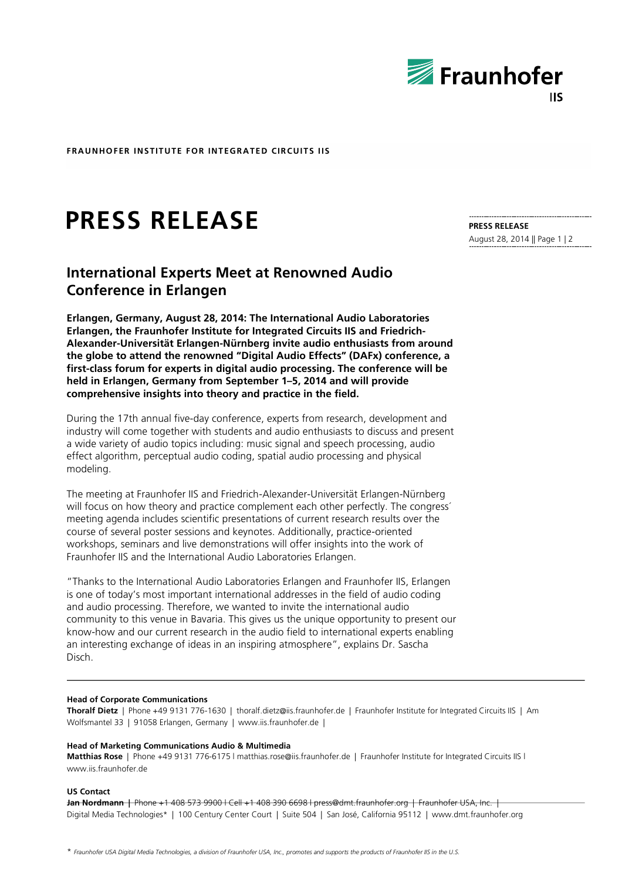

**FRAUNHOFER INSTITUTE FOR INTEGRATED CIRCUITS IIS**

# **PRESS RELEASE**

# **International Experts Meet at Renowned Audio Conference in Erlangen**

**Erlangen, Germany, August 28, 2014: The International Audio Laboratories Erlangen, the Fraunhofer Institute for Integrated Circuits IIS and Friedrich-Alexander-Universität Erlangen-Nürnberg invite audio enthusiasts from around the globe to attend the renowned "Digital Audio Effects" (DAFx) conference, a first-class forum for experts in digital audio processing. The conference will be held in Erlangen, Germany from September 1–5, 2014 and will provide comprehensive insights into theory and practice in the field.** 

During the 17th annual five-day conference, experts from research, development and industry will come together with students and audio enthusiasts to discuss and present a wide variety of audio topics including: music signal and speech processing, audio effect algorithm, perceptual audio coding, spatial audio processing and physical modeling.

The meeting at Fraunhofer IIS and Friedrich-Alexander-Universität Erlangen-Nürnberg will focus on how theory and practice complement each other perfectly. The congress' meeting agenda includes scientific presentations of current research results over the course of several poster sessions and keynotes. Additionally, practice-oriented workshops, seminars and live demonstrations will offer insights into the work of Fraunhofer IIS and the International Audio Laboratories Erlangen.

"Thanks to the International Audio Laboratories Erlangen and Fraunhofer IIS, Erlangen is one of today's most important international addresses in the field of audio coding and audio processing. Therefore, we wanted to invite the international audio community to this venue in Bavaria. This gives us the unique opportunity to present our know-how and our current research in the audio field to international experts enabling an interesting exchange of ideas in an inspiring atmosphere", explains Dr. Sascha Disch.

### **Head of Corporate Communications**

**Thoralf Dietz** | Phone +49 9131 776-1630 | thoralf.dietz@iis.fraunhofer.de | Fraunhofer Institute for Integrated Circuits IIS | Am Wolfsmantel 33 | 91058 Erlangen, Germany | www.iis.fraunhofer.de |

# **Head of Marketing Communications Audio & Multimedia**

**Matthias Rose** | Phone +49 9131 776-6175 l matthias.rose@iis.fraunhofer.de | Fraunhofer Institute for Integrated Circuits IIS l www.iis.fraunhofer.de

**US Contact**

**Jan Nordmann |** Phone +1 408 573 9900 l Cell +1 408 390 6698 l press@dmt.fraunhofer.org | Fraunhofer USA, Inc. | Digital Media Technologies\* | 100 Century Center Court | Suite 504 | San José, California 95112 | www.dmt.fraunhofer.org

**PRESS RELEASE** August 28, 2014 || Page 1 | 2